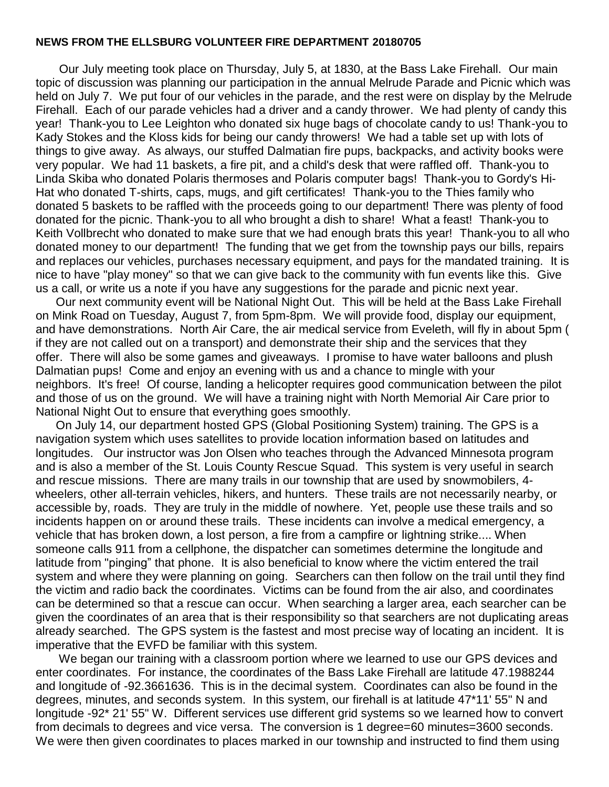## **NEWS FROM THE ELLSBURG VOLUNTEER FIRE DEPARTMENT 20180705**

 Our July meeting took place on Thursday, July 5, at 1830, at the Bass Lake Firehall. Our main topic of discussion was planning our participation in the annual Melrude Parade and Picnic which was held on July 7. We put four of our vehicles in the parade, and the rest were on display by the Melrude Firehall. Each of our parade vehicles had a driver and a candy thrower. We had plenty of candy this year! Thank-you to Lee Leighton who donated six huge bags of chocolate candy to us! Thank-you to Kady Stokes and the Kloss kids for being our candy throwers! We had a table set up with lots of things to give away. As always, our stuffed Dalmatian fire pups, backpacks, and activity books were very popular. We had 11 baskets, a fire pit, and a child's desk that were raffled off. Thank-you to Linda Skiba who donated Polaris thermoses and Polaris computer bags! Thank-you to Gordy's Hi-Hat who donated T-shirts, caps, mugs, and gift certificates! Thank-you to the Thies family who donated 5 baskets to be raffled with the proceeds going to our department! There was plenty of food donated for the picnic. Thank-you to all who brought a dish to share! What a feast! Thank-you to Keith Vollbrecht who donated to make sure that we had enough brats this year! Thank-you to all who donated money to our department! The funding that we get from the township pays our bills, repairs and replaces our vehicles, purchases necessary equipment, and pays for the mandated training. It is nice to have "play money" so that we can give back to the community with fun events like this. Give us a call, or write us a note if you have any suggestions for the parade and picnic next year.

 Our next community event will be National Night Out. This will be held at the Bass Lake Firehall on Mink Road on Tuesday, August 7, from 5pm-8pm. We will provide food, display our equipment, and have demonstrations. North Air Care, the air medical service from Eveleth, will fly in about 5pm ( if they are not called out on a transport) and demonstrate their ship and the services that they offer. There will also be some games and giveaways. I promise to have water balloons and plush Dalmatian pups! Come and enjoy an evening with us and a chance to mingle with your neighbors. It's free! Of course, landing a helicopter requires good communication between the pilot and those of us on the ground. We will have a training night with North Memorial Air Care prior to National Night Out to ensure that everything goes smoothly.

 On July 14, our department hosted GPS (Global Positioning System) training. The GPS is a navigation system which uses satellites to provide location information based on latitudes and longitudes. Our instructor was Jon Olsen who teaches through the Advanced Minnesota program and is also a member of the St. Louis County Rescue Squad. This system is very useful in search and rescue missions. There are many trails in our township that are used by snowmobilers, 4 wheelers, other all-terrain vehicles, hikers, and hunters. These trails are not necessarily nearby, or accessible by, roads. They are truly in the middle of nowhere. Yet, people use these trails and so incidents happen on or around these trails. These incidents can involve a medical emergency, a vehicle that has broken down, a lost person, a fire from a campfire or lightning strike.... When someone calls 911 from a cellphone, the dispatcher can sometimes determine the longitude and latitude from "pinging" that phone. It is also beneficial to know where the victim entered the trail system and where they were planning on going. Searchers can then follow on the trail until they find the victim and radio back the coordinates. Victims can be found from the air also, and coordinates can be determined so that a rescue can occur. When searching a larger area, each searcher can be given the coordinates of an area that is their responsibility so that searchers are not duplicating areas already searched. The GPS system is the fastest and most precise way of locating an incident. It is imperative that the EVFD be familiar with this system.

 We began our training with a classroom portion where we learned to use our GPS devices and enter coordinates. For instance, the coordinates of the Bass Lake Firehall are latitude 47.1988244 and longitude of -92.3661636. This is in the decimal system. Coordinates can also be found in the degrees, minutes, and seconds system. In this system, our firehall is at latitude 47\*11' 55" N and longitude -92\* 21' 55" W. Different services use different grid systems so we learned how to convert from decimals to degrees and vice versa. The conversion is 1 degree=60 minutes=3600 seconds. We were then given coordinates to places marked in our township and instructed to find them using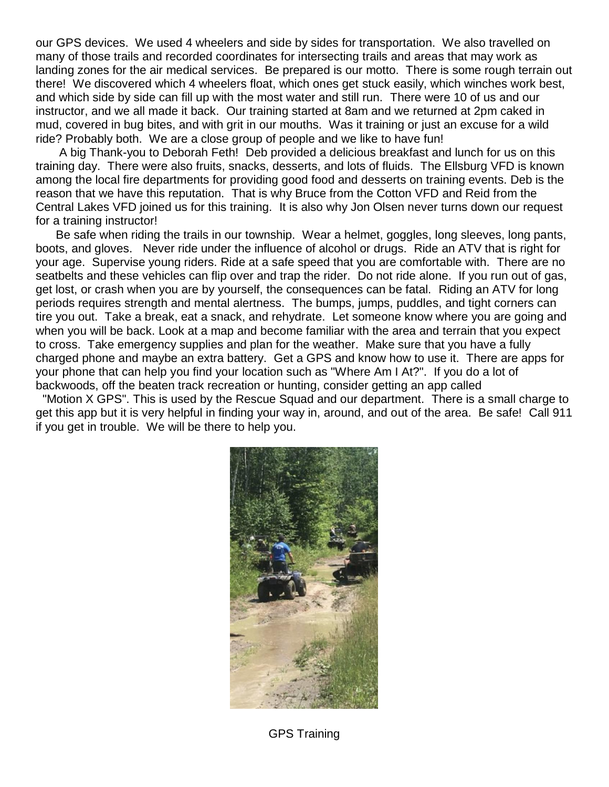our GPS devices. We used 4 wheelers and side by sides for transportation. We also travelled on many of those trails and recorded coordinates for intersecting trails and areas that may work as landing zones for the air medical services. Be prepared is our motto. There is some rough terrain out there! We discovered which 4 wheelers float, which ones get stuck easily, which winches work best, and which side by side can fill up with the most water and still run. There were 10 of us and our instructor, and we all made it back. Our training started at 8am and we returned at 2pm caked in mud, covered in bug bites, and with grit in our mouths. Was it training or just an excuse for a wild ride? Probably both. We are a close group of people and we like to have fun!

 A big Thank-you to Deborah Feth! Deb provided a delicious breakfast and lunch for us on this training day. There were also fruits, snacks, desserts, and lots of fluids. The Ellsburg VFD is known among the local fire departments for providing good food and desserts on training events. Deb is the reason that we have this reputation. That is why Bruce from the Cotton VFD and Reid from the Central Lakes VFD joined us for this training. It is also why Jon Olsen never turns down our request for a training instructor!

 Be safe when riding the trails in our township. Wear a helmet, goggles, long sleeves, long pants, boots, and gloves. Never ride under the influence of alcohol or drugs. Ride an ATV that is right for your age. Supervise young riders. Ride at a safe speed that you are comfortable with. There are no seatbelts and these vehicles can flip over and trap the rider. Do not ride alone. If you run out of gas, get lost, or crash when you are by yourself, the consequences can be fatal. Riding an ATV for long periods requires strength and mental alertness. The bumps, jumps, puddles, and tight corners can tire you out. Take a break, eat a snack, and rehydrate. Let someone know where you are going and when you will be back. Look at a map and become familiar with the area and terrain that you expect to cross. Take emergency supplies and plan for the weather. Make sure that you have a fully charged phone and maybe an extra battery. Get a GPS and know how to use it. There are apps for your phone that can help you find your location such as "Where Am I At?". If you do a lot of backwoods, off the beaten track recreation or hunting, consider getting an app called

"Motion X GPS". This is used by the Rescue Squad and our department. There is a small charge to get this app but it is very helpful in finding your way in, around, and out of the area. Be safe! Call 911 if you get in trouble. We will be there to help you.



GPS Training